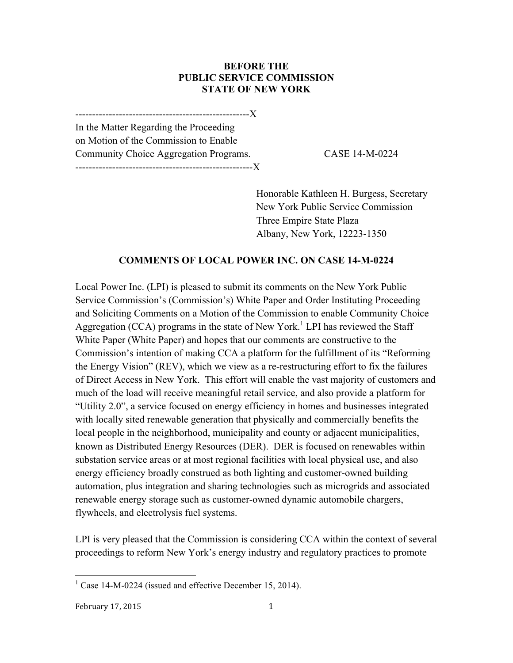#### **BEFORE THE PUBLIC SERVICE COMMISSION STATE OF NEW YORK**

----------------------------------------------------X In the Matter Regarding the Proceeding on Motion of the Commission to Enable Community Choice Aggregation Programs. CASE 14-M-0224 -----------------------------------------------------X

Honorable Kathleen H. Burgess, Secretary New York Public Service Commission Three Empire State Plaza Albany, New York, 12223-1350

### **COMMENTS OF LOCAL POWER INC. ON CASE 14-M-0224**

Local Power Inc. (LPI) is pleased to submit its comments on the New York Public Service Commission's (Commission's) White Paper and Order Instituting Proceeding and Soliciting Comments on a Motion of the Commission to enable Community Choice Aggregation (CCA) programs in the state of New York.<sup>1</sup> LPI has reviewed the Staff White Paper (White Paper) and hopes that our comments are constructive to the Commission's intention of making CCA a platform for the fulfillment of its "Reforming the Energy Vision" (REV), which we view as a re-restructuring effort to fix the failures of Direct Access in New York. This effort will enable the vast majority of customers and much of the load will receive meaningful retail service, and also provide a platform for "Utility 2.0", a service focused on energy efficiency in homes and businesses integrated with locally sited renewable generation that physically and commercially benefits the local people in the neighborhood, municipality and county or adjacent municipalities, known as Distributed Energy Resources (DER). DER is focused on renewables within substation service areas or at most regional facilities with local physical use, and also energy efficiency broadly construed as both lighting and customer-owned building automation, plus integration and sharing technologies such as microgrids and associated renewable energy storage such as customer-owned dynamic automobile chargers, flywheels, and electrolysis fuel systems.

LPI is very pleased that the Commission is considering CCA within the context of several proceedings to reform New York's energy industry and regulatory practices to promote

 $1$  Case 14-M-0224 (issued and effective December 15, 2014).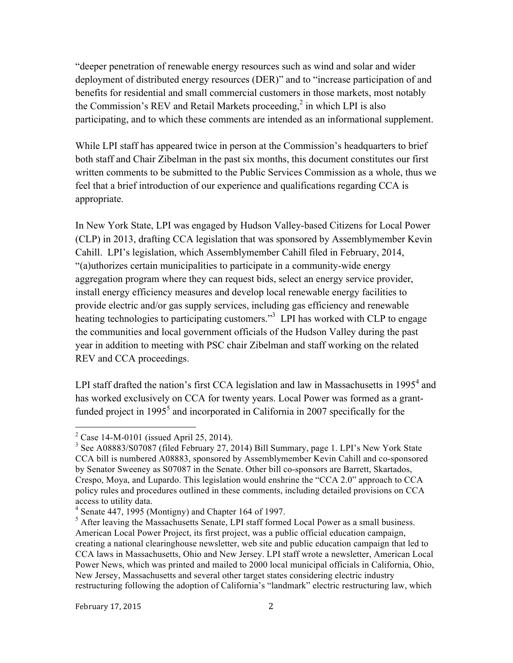"deeper penetration of renewable energy resources such as wind and solar and wider deployment of distributed energy resources (DER)" and to "increase participation of and benefits for residential and small commercial customers in those markets, most notably the Commission's REV and Retail Markets proceeding, $<sup>2</sup>$  in which LPI is also</sup> participating, and to which these comments are intended as an informational supplement.

While LPI staff has appeared twice in person at the Commission's headquarters to brief both staff and Chair Zibelman in the past six months, this document constitutes our first written comments to be submitted to the Public Services Commission as a whole, thus we feel that a brief introduction of our experience and qualifications regarding CCA is appropriate.

In New York State, LPI was engaged by Hudson Valley-based Citizens for Local Power (CLP) in 2013, drafting CCA legislation that was sponsored by Assemblymember Kevin Cahill. LPI's legislation, which Assemblymember Cahill filed in February, 2014, "(a)uthorizes certain municipalities to participate in a community-wide energy aggregation program where they can request bids, select an energy service provider, install energy efficiency measures and develop local renewable energy facilities to provide electric and/or gas supply services, including gas efficiency and renewable heating technologies to participating customers."<sup>3</sup> LPI has worked with CLP to engage the communities and local government officials of the Hudson Valley during the past year in addition to meeting with PSC chair Zibelman and staff working on the related REV and CCA proceedings.

LPI staff drafted the nation's first CCA legislation and law in Massachusetts in 1995<sup>4</sup> and has worked exclusively on CCA for twenty years. Local Power was formed as a grantfunded project in  $1995<sup>5</sup>$  and incorporated in California in 2007 specifically for the

 $2^2$  Case 14-M-0101 (issued April 25, 2014).

 $3$  See A08883/S07087 (filed February 27, 2014) Bill Summary, page 1. LPI's New York State CCA bill is numbered A08883, sponsored by Assemblymember Kevin Cahill and co-sponsored by Senator Sweeney as S07087 in the Senate. Other bill co-sponsors are Barrett, Skartados, Crespo, Moya, and Lupardo. This legislation would enshrine the "CCA 2.0" approach to CCA policy rules and procedures outlined in these comments, including detailed provisions on CCA access to utility data. <sup>4</sup> Senate 447, 1995 (Montigny) and Chapter 164 of 1997.

<sup>&</sup>lt;sup>5</sup> After leaving the Massachusetts Senate, LPI staff formed Local Power as a small business. American Local Power Project, its first project, was a public official education campaign, creating a national clearinghouse newsletter, web site and public education campaign that led to CCA laws in Massachusetts, Ohio and New Jersey. LPI staff wrote a newsletter, American Local Power News, which was printed and mailed to 2000 local municipal officials in California, Ohio, New Jersey, Massachusetts and several other target states considering electric industry restructuring following the adoption of California's "landmark" electric restructuring law, which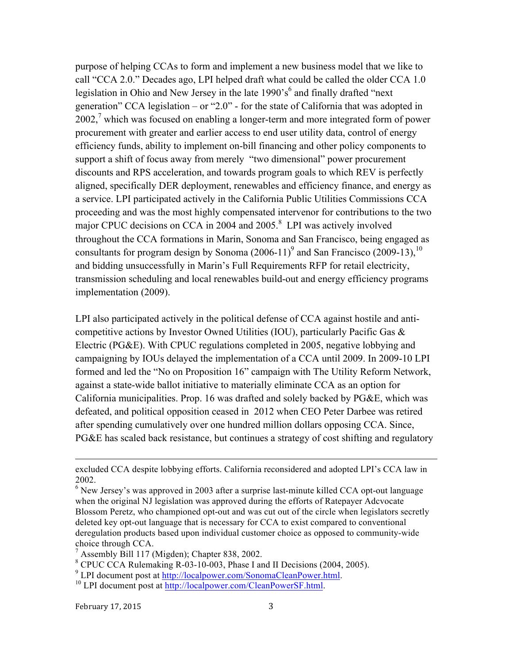purpose of helping CCAs to form and implement a new business model that we like to call "CCA 2.0." Decades ago, LPI helped draft what could be called the older CCA 1.0 legislation in Ohio and New Jersey in the late  $1990^{\circ}$ s<sup>6</sup> and finally drafted "next" generation" CCA legislation – or "2.0" - for the state of California that was adopted in  $2002$ ,<sup>7</sup> which was focused on enabling a longer-term and more integrated form of power procurement with greater and earlier access to end user utility data, control of energy efficiency funds, ability to implement on-bill financing and other policy components to support a shift of focus away from merely "two dimensional" power procurement discounts and RPS acceleration, and towards program goals to which REV is perfectly aligned, specifically DER deployment, renewables and efficiency finance, and energy as a service. LPI participated actively in the California Public Utilities Commissions CCA proceeding and was the most highly compensated intervenor for contributions to the two major CPUC decisions on CCA in 2004 and 2005. $8$  LPI was actively involved throughout the CCA formations in Marin, Sonoma and San Francisco, being engaged as consultants for program design by Sonoma  $(2006-11)^9$  and San Francisco  $(2009-13)$ ,<sup>10</sup> and bidding unsuccessfully in Marin's Full Requirements RFP for retail electricity, transmission scheduling and local renewables build-out and energy efficiency programs implementation (2009).

LPI also participated actively in the political defense of CCA against hostile and anticompetitive actions by Investor Owned Utilities (IOU), particularly Pacific Gas & Electric (PG&E). With CPUC regulations completed in 2005, negative lobbying and campaigning by IOUs delayed the implementation of a CCA until 2009. In 2009-10 LPI formed and led the "No on Proposition 16" campaign with The Utility Reform Network, against a state-wide ballot initiative to materially eliminate CCA as an option for California municipalities. Prop. 16 was drafted and solely backed by PG&E, which was defeated, and political opposition ceased in 2012 when CEO Peter Darbee was retired after spending cumulatively over one hundred million dollars opposing CCA. Since, PG&E has scaled back resistance, but continues a strategy of cost shifting and regulatory

 $\overline{a}$ 

excluded CCA despite lobbying efforts. California reconsidered and adopted LPI's CCA law in 2002.

 $6$  New Jersey's was approved in 2003 after a surprise last-minute killed CCA opt-out language when the original NJ legislation was approved during the efforts of Ratepayer Adcvocate Blossom Peretz, who championed opt-out and was cut out of the circle when legislators secretly deleted key opt-out language that is necessary for CCA to exist compared to conventional deregulation products based upon individual customer choice as opposed to community-wide choice through CCA.

 $<sup>7</sup>$  Assembly Bill 117 (Migden); Chapter 838, 2002.</sup>

<sup>&</sup>lt;sup>8</sup> CPUC CCA Rulemaking R-03-10-003, Phase I and II Decisions (2004, 2005).

<sup>&</sup>lt;sup>9</sup> LPI document post at  $\frac{http://localhost.com/SonomaCleanPower.html}{http://localhost.com/CleanPower Sr.html}$ .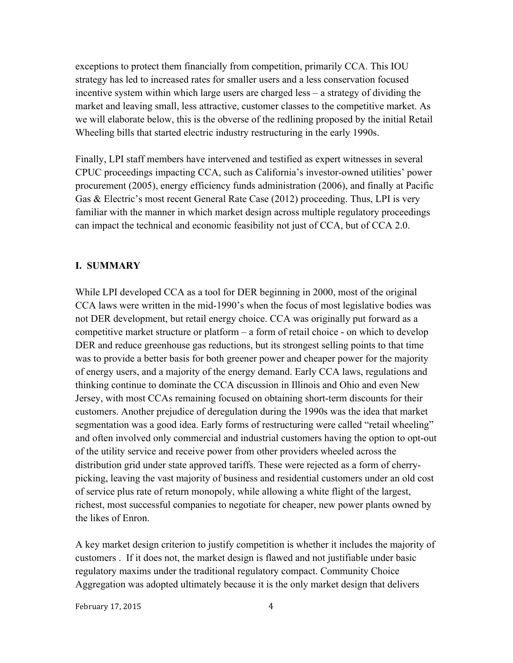exceptions to protect them financially from competition, primarily CCA. This IOU strategy has led to increased rates for smaller users and a less conservation focused incentive system within which large users are charged less – a strategy of dividing the market and leaving small, less attractive, customer classes to the competitive market. As we will elaborate below, this is the obverse of the redlining proposed by the initial Retail Wheeling bills that started electric industry restructuring in the early 1990s.

Finally, LPI staff members have intervened and testified as expert witnesses in several CPUC proceedings impacting CCA, such as California's investor-owned utilities' power procurement (2005), energy efficiency funds administration (2006), and finally at Pacific Gas & Electric's most recent General Rate Case (2012) proceeding. Thus, LPI is very familiar with the manner in which market design across multiple regulatory proceedings can impact the technical and economic feasibility not just of CCA, but of CCA 2.0.

#### **I. SUMMARY**

While LPI developed CCA as a tool for DER beginning in 2000, most of the original CCA laws were written in the mid-1990's when the focus of most legislative bodies was not DER development, but retail energy choice. CCA was originally put forward as a competitive market structure or platform – a form of retail choice - on which to develop DER and reduce greenhouse gas reductions, but its strongest selling points to that time was to provide a better basis for both greener power and cheaper power for the majority of energy users, and a majority of the energy demand. Early CCA laws, regulations and thinking continue to dominate the CCA discussion in Illinois and Ohio and even New Jersey, with most CCAs remaining focused on obtaining short-term discounts for their customers. Another prejudice of deregulation during the 1990s was the idea that market segmentation was a good idea. Early forms of restructuring were called "retail wheeling" and often involved only commercial and industrial customers having the option to opt-out of the utility service and receive power from other providers wheeled across the distribution grid under state approved tariffs. These were rejected as a form of cherrypicking, leaving the vast majority of business and residential customers under an old cost of service plus rate of return monopoly, while allowing a white flight of the largest, richest, most successful companies to negotiate for cheaper, new power plants owned by the likes of Enron.

A key market design criterion to justify competition is whether it includes the majority of customers . If it does not, the market design is flawed and not justifiable under basic regulatory maxims under the traditional regulatory compact. Community Choice Aggregation was adopted ultimately because it is the only market design that delivers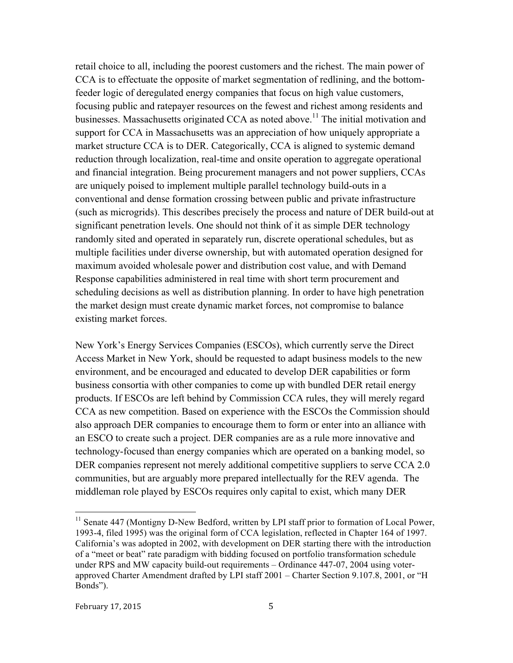retail choice to all, including the poorest customers and the richest. The main power of CCA is to effectuate the opposite of market segmentation of redlining, and the bottomfeeder logic of deregulated energy companies that focus on high value customers, focusing public and ratepayer resources on the fewest and richest among residents and businesses. Massachusetts originated CCA as noted above.<sup>11</sup> The initial motivation and support for CCA in Massachusetts was an appreciation of how uniquely appropriate a market structure CCA is to DER. Categorically, CCA is aligned to systemic demand reduction through localization, real-time and onsite operation to aggregate operational and financial integration. Being procurement managers and not power suppliers, CCAs are uniquely poised to implement multiple parallel technology build-outs in a conventional and dense formation crossing between public and private infrastructure (such as microgrids). This describes precisely the process and nature of DER build-out at significant penetration levels. One should not think of it as simple DER technology randomly sited and operated in separately run, discrete operational schedules, but as multiple facilities under diverse ownership, but with automated operation designed for maximum avoided wholesale power and distribution cost value, and with Demand Response capabilities administered in real time with short term procurement and scheduling decisions as well as distribution planning. In order to have high penetration the market design must create dynamic market forces, not compromise to balance existing market forces.

New York's Energy Services Companies (ESCOs), which currently serve the Direct Access Market in New York, should be requested to adapt business models to the new environment, and be encouraged and educated to develop DER capabilities or form business consortia with other companies to come up with bundled DER retail energy products. If ESCOs are left behind by Commission CCA rules, they will merely regard CCA as new competition. Based on experience with the ESCOs the Commission should also approach DER companies to encourage them to form or enter into an alliance with an ESCO to create such a project. DER companies are as a rule more innovative and technology-focused than energy companies which are operated on a banking model, so DER companies represent not merely additional competitive suppliers to serve CCA 2.0 communities, but are arguably more prepared intellectually for the REV agenda. The middleman role played by ESCOs requires only capital to exist, which many DER

<sup>&</sup>lt;sup>11</sup> Senate 447 (Montigny D-New Bedford, written by LPI staff prior to formation of Local Power, 1993-4, filed 1995) was the original form of CCA legislation, reflected in Chapter 164 of 1997. California's was adopted in 2002, with development on DER starting there with the introduction of a "meet or beat" rate paradigm with bidding focused on portfolio transformation schedule under RPS and MW capacity build-out requirements – Ordinance 447-07, 2004 using voterapproved Charter Amendment drafted by LPI staff 2001 – Charter Section 9.107.8, 2001, or "H Bonds").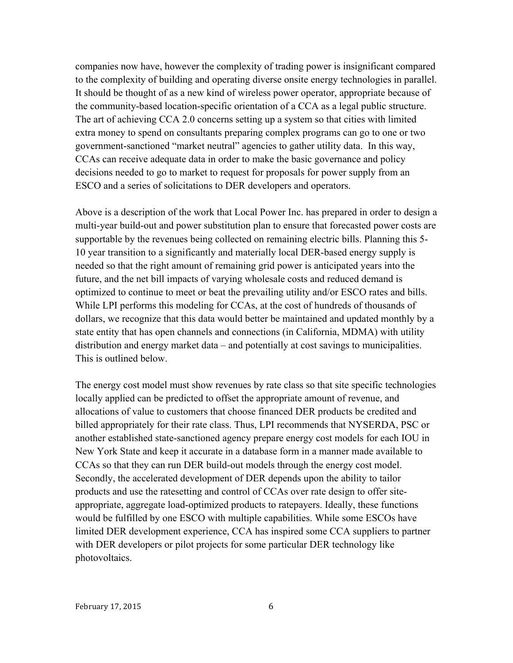companies now have, however the complexity of trading power is insignificant compared to the complexity of building and operating diverse onsite energy technologies in parallel. It should be thought of as a new kind of wireless power operator, appropriate because of the community-based location-specific orientation of a CCA as a legal public structure. The art of achieving CCA 2.0 concerns setting up a system so that cities with limited extra money to spend on consultants preparing complex programs can go to one or two government-sanctioned "market neutral" agencies to gather utility data. In this way, CCAs can receive adequate data in order to make the basic governance and policy decisions needed to go to market to request for proposals for power supply from an ESCO and a series of solicitations to DER developers and operators.

Above is a description of the work that Local Power Inc. has prepared in order to design a multi-year build-out and power substitution plan to ensure that forecasted power costs are supportable by the revenues being collected on remaining electric bills. Planning this 5- 10 year transition to a significantly and materially local DER-based energy supply is needed so that the right amount of remaining grid power is anticipated years into the future, and the net bill impacts of varying wholesale costs and reduced demand is optimized to continue to meet or beat the prevailing utility and/or ESCO rates and bills. While LPI performs this modeling for CCAs, at the cost of hundreds of thousands of dollars, we recognize that this data would better be maintained and updated monthly by a state entity that has open channels and connections (in California, MDMA) with utility distribution and energy market data – and potentially at cost savings to municipalities. This is outlined below.

The energy cost model must show revenues by rate class so that site specific technologies locally applied can be predicted to offset the appropriate amount of revenue, and allocations of value to customers that choose financed DER products be credited and billed appropriately for their rate class. Thus, LPI recommends that NYSERDA, PSC or another established state-sanctioned agency prepare energy cost models for each IOU in New York State and keep it accurate in a database form in a manner made available to CCAs so that they can run DER build-out models through the energy cost model. Secondly, the accelerated development of DER depends upon the ability to tailor products and use the ratesetting and control of CCAs over rate design to offer siteappropriate, aggregate load-optimized products to ratepayers. Ideally, these functions would be fulfilled by one ESCO with multiple capabilities. While some ESCOs have limited DER development experience, CCA has inspired some CCA suppliers to partner with DER developers or pilot projects for some particular DER technology like photovoltaics.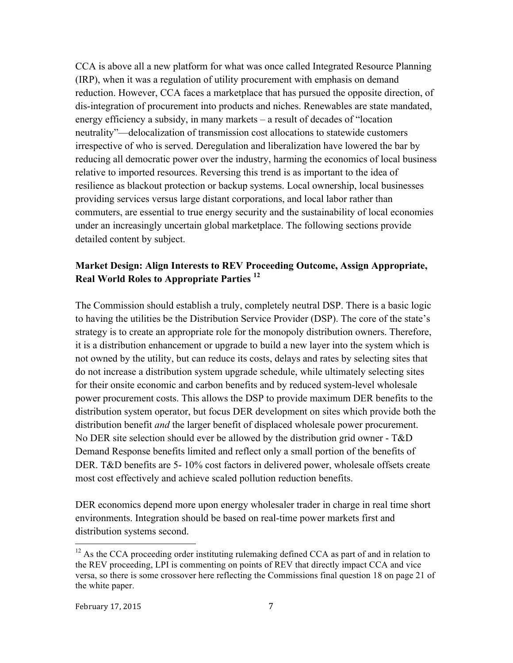CCA is above all a new platform for what was once called Integrated Resource Planning (IRP), when it was a regulation of utility procurement with emphasis on demand reduction. However, CCA faces a marketplace that has pursued the opposite direction, of dis-integration of procurement into products and niches. Renewables are state mandated, energy efficiency a subsidy, in many markets – a result of decades of "location neutrality"—delocalization of transmission cost allocations to statewide customers irrespective of who is served. Deregulation and liberalization have lowered the bar by reducing all democratic power over the industry, harming the economics of local business relative to imported resources. Reversing this trend is as important to the idea of resilience as blackout protection or backup systems. Local ownership, local businesses providing services versus large distant corporations, and local labor rather than commuters, are essential to true energy security and the sustainability of local economies under an increasingly uncertain global marketplace. The following sections provide detailed content by subject.

### **Market Design: Align Interests to REV Proceeding Outcome, Assign Appropriate, Real World Roles to Appropriate Parties <sup>12</sup>**

The Commission should establish a truly, completely neutral DSP. There is a basic logic to having the utilities be the Distribution Service Provider (DSP). The core of the state's strategy is to create an appropriate role for the monopoly distribution owners. Therefore, it is a distribution enhancement or upgrade to build a new layer into the system which is not owned by the utility, but can reduce its costs, delays and rates by selecting sites that do not increase a distribution system upgrade schedule, while ultimately selecting sites for their onsite economic and carbon benefits and by reduced system-level wholesale power procurement costs. This allows the DSP to provide maximum DER benefits to the distribution system operator, but focus DER development on sites which provide both the distribution benefit *and* the larger benefit of displaced wholesale power procurement. No DER site selection should ever be allowed by the distribution grid owner - T&D Demand Response benefits limited and reflect only a small portion of the benefits of DER. T&D benefits are 5-10% cost factors in delivered power, wholesale offsets create most cost effectively and achieve scaled pollution reduction benefits.

DER economics depend more upon energy wholesaler trader in charge in real time short environments. Integration should be based on real-time power markets first and distribution systems second.

<sup>&</sup>lt;sup>12</sup> As the CCA proceeding order instituting rulemaking defined CCA as part of and in relation to the REV proceeding, LPI is commenting on points of REV that directly impact CCA and vice versa, so there is some crossover here reflecting the Commissions final question 18 on page 21 of the white paper.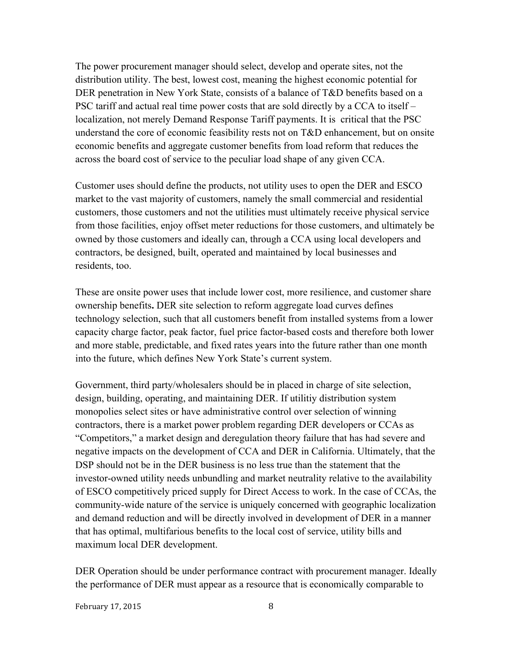The power procurement manager should select, develop and operate sites, not the distribution utility. The best, lowest cost, meaning the highest economic potential for DER penetration in New York State, consists of a balance of T&D benefits based on a PSC tariff and actual real time power costs that are sold directly by a CCA to itself – localization, not merely Demand Response Tariff payments. It is critical that the PSC understand the core of economic feasibility rests not on T&D enhancement, but on onsite economic benefits and aggregate customer benefits from load reform that reduces the across the board cost of service to the peculiar load shape of any given CCA.

Customer uses should define the products, not utility uses to open the DER and ESCO market to the vast majority of customers, namely the small commercial and residential customers, those customers and not the utilities must ultimately receive physical service from those facilities, enjoy offset meter reductions for those customers, and ultimately be owned by those customers and ideally can, through a CCA using local developers and contractors, be designed, built, operated and maintained by local businesses and residents, too.

These are onsite power uses that include lower cost, more resilience, and customer share ownership benefits**.** DER site selection to reform aggregate load curves defines technology selection, such that all customers benefit from installed systems from a lower capacity charge factor, peak factor, fuel price factor-based costs and therefore both lower and more stable, predictable, and fixed rates years into the future rather than one month into the future, which defines New York State's current system.

Government, third party/wholesalers should be in placed in charge of site selection, design, building, operating, and maintaining DER. If utilitiy distribution system monopolies select sites or have administrative control over selection of winning contractors, there is a market power problem regarding DER developers or CCAs as "Competitors," a market design and deregulation theory failure that has had severe and negative impacts on the development of CCA and DER in California. Ultimately, that the DSP should not be in the DER business is no less true than the statement that the investor-owned utility needs unbundling and market neutrality relative to the availability of ESCO competitively priced supply for Direct Access to work. In the case of CCAs, the community-wide nature of the service is uniquely concerned with geographic localization and demand reduction and will be directly involved in development of DER in a manner that has optimal, multifarious benefits to the local cost of service, utility bills and maximum local DER development.

DER Operation should be under performance contract with procurement manager. Ideally the performance of DER must appear as a resource that is economically comparable to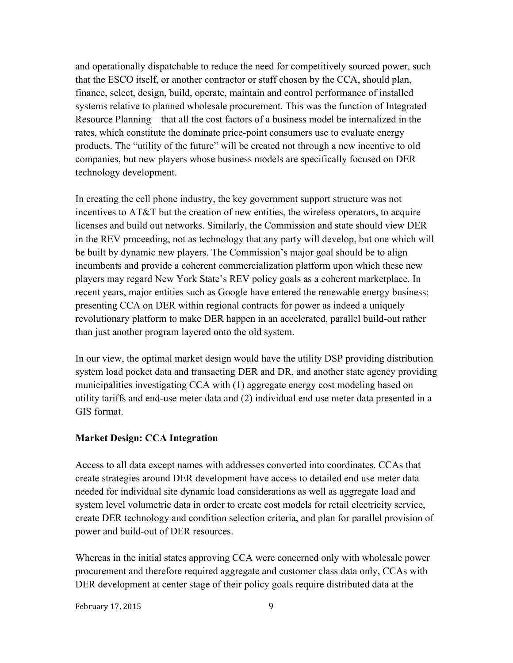and operationally dispatchable to reduce the need for competitively sourced power, such that the ESCO itself, or another contractor or staff chosen by the CCA, should plan, finance, select, design, build, operate, maintain and control performance of installed systems relative to planned wholesale procurement. This was the function of Integrated Resource Planning – that all the cost factors of a business model be internalized in the rates, which constitute the dominate price-point consumers use to evaluate energy products. The "utility of the future" will be created not through a new incentive to old companies, but new players whose business models are specifically focused on DER technology development.

In creating the cell phone industry, the key government support structure was not incentives to AT&T but the creation of new entities, the wireless operators, to acquire licenses and build out networks. Similarly, the Commission and state should view DER in the REV proceeding, not as technology that any party will develop, but one which will be built by dynamic new players. The Commission's major goal should be to align incumbents and provide a coherent commercialization platform upon which these new players may regard New York State's REV policy goals as a coherent marketplace. In recent years, major entities such as Google have entered the renewable energy business; presenting CCA on DER within regional contracts for power as indeed a uniquely revolutionary platform to make DER happen in an accelerated, parallel build-out rather than just another program layered onto the old system.

In our view, the optimal market design would have the utility DSP providing distribution system load pocket data and transacting DER and DR, and another state agency providing municipalities investigating CCA with (1) aggregate energy cost modeling based on utility tariffs and end-use meter data and (2) individual end use meter data presented in a GIS format.

#### **Market Design: CCA Integration**

Access to all data except names with addresses converted into coordinates. CCAs that create strategies around DER development have access to detailed end use meter data needed for individual site dynamic load considerations as well as aggregate load and system level volumetric data in order to create cost models for retail electricity service, create DER technology and condition selection criteria, and plan for parallel provision of power and build-out of DER resources.

Whereas in the initial states approving CCA were concerned only with wholesale power procurement and therefore required aggregate and customer class data only, CCAs with DER development at center stage of their policy goals require distributed data at the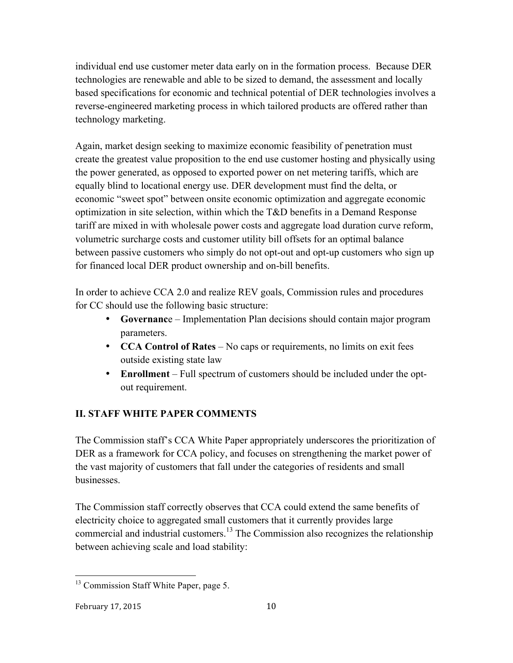individual end use customer meter data early on in the formation process. Because DER technologies are renewable and able to be sized to demand, the assessment and locally based specifications for economic and technical potential of DER technologies involves a reverse-engineered marketing process in which tailored products are offered rather than technology marketing.

Again, market design seeking to maximize economic feasibility of penetration must create the greatest value proposition to the end use customer hosting and physically using the power generated, as opposed to exported power on net metering tariffs, which are equally blind to locational energy use. DER development must find the delta, or economic "sweet spot" between onsite economic optimization and aggregate economic optimization in site selection, within which the T&D benefits in a Demand Response tariff are mixed in with wholesale power costs and aggregate load duration curve reform, volumetric surcharge costs and customer utility bill offsets for an optimal balance between passive customers who simply do not opt-out and opt-up customers who sign up for financed local DER product ownership and on-bill benefits.

In order to achieve CCA 2.0 and realize REV goals, Commission rules and procedures for CC should use the following basic structure:

- **Governanc**e Implementation Plan decisions should contain major program parameters.
- **CCA Control of Rates** No caps or requirements, no limits on exit fees outside existing state law
- **Enrollment** Full spectrum of customers should be included under the optout requirement.

# **II. STAFF WHITE PAPER COMMENTS**

The Commission staff's CCA White Paper appropriately underscores the prioritization of DER as a framework for CCA policy, and focuses on strengthening the market power of the vast majority of customers that fall under the categories of residents and small businesses.

The Commission staff correctly observes that CCA could extend the same benefits of electricity choice to aggregated small customers that it currently provides large commercial and industrial customers.<sup>13</sup> The Commission also recognizes the relationship between achieving scale and load stability:

<sup>&</sup>lt;sup>13</sup> Commission Staff White Paper, page 5.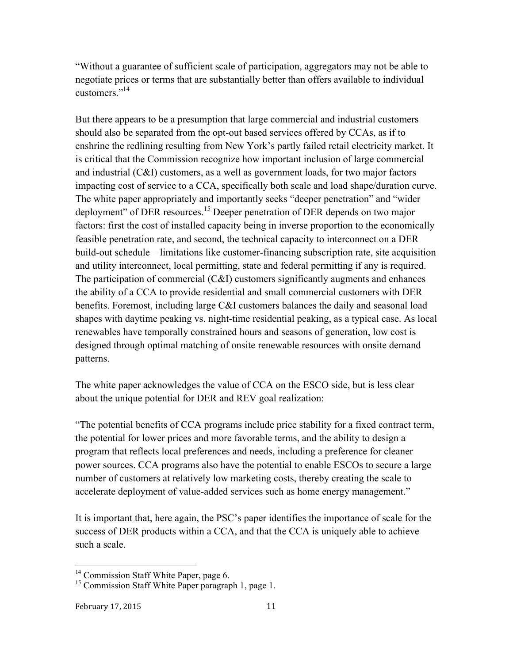"Without a guarantee of sufficient scale of participation, aggregators may not be able to negotiate prices or terms that are substantially better than offers available to individual customers<sup>"14</sup>

But there appears to be a presumption that large commercial and industrial customers should also be separated from the opt-out based services offered by CCAs, as if to enshrine the redlining resulting from New York's partly failed retail electricity market. It is critical that the Commission recognize how important inclusion of large commercial and industrial (C&I) customers, as a well as government loads, for two major factors impacting cost of service to a CCA, specifically both scale and load shape/duration curve. The white paper appropriately and importantly seeks "deeper penetration" and "wider deployment" of DER resources.<sup>15</sup> Deeper penetration of DER depends on two major factors: first the cost of installed capacity being in inverse proportion to the economically feasible penetration rate, and second, the technical capacity to interconnect on a DER build-out schedule – limitations like customer-financing subscription rate, site acquisition and utility interconnect, local permitting, state and federal permitting if any is required. The participation of commercial (C&I) customers significantly augments and enhances the ability of a CCA to provide residential and small commercial customers with DER benefits. Foremost, including large C&I customers balances the daily and seasonal load shapes with daytime peaking vs. night-time residential peaking, as a typical case. As local renewables have temporally constrained hours and seasons of generation, low cost is designed through optimal matching of onsite renewable resources with onsite demand patterns.

The white paper acknowledges the value of CCA on the ESCO side, but is less clear about the unique potential for DER and REV goal realization:

"The potential benefits of CCA programs include price stability for a fixed contract term, the potential for lower prices and more favorable terms, and the ability to design a program that reflects local preferences and needs, including a preference for cleaner power sources. CCA programs also have the potential to enable ESCOs to secure a large number of customers at relatively low marketing costs, thereby creating the scale to accelerate deployment of value-added services such as home energy management."

It is important that, here again, the PSC's paper identifies the importance of scale for the success of DER products within a CCA, and that the CCA is uniquely able to achieve such a scale.

<sup>&</sup>lt;sup>14</sup> Commission Staff White Paper, page 6.

<sup>&</sup>lt;sup>15</sup> Commission Staff White Paper paragraph 1, page 1.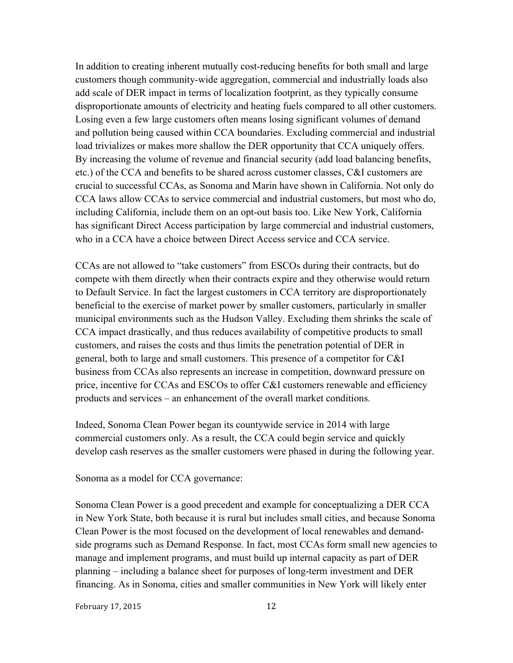In addition to creating inherent mutually cost-reducing benefits for both small and large customers though community-wide aggregation, commercial and industrially loads also add scale of DER impact in terms of localization footprint, as they typically consume disproportionate amounts of electricity and heating fuels compared to all other customers. Losing even a few large customers often means losing significant volumes of demand and pollution being caused within CCA boundaries. Excluding commercial and industrial load trivializes or makes more shallow the DER opportunity that CCA uniquely offers. By increasing the volume of revenue and financial security (add load balancing benefits, etc.) of the CCA and benefits to be shared across customer classes, C&I customers are crucial to successful CCAs, as Sonoma and Marin have shown in California. Not only do CCA laws allow CCAs to service commercial and industrial customers, but most who do, including California, include them on an opt-out basis too. Like New York, California has significant Direct Access participation by large commercial and industrial customers, who in a CCA have a choice between Direct Access service and CCA service.

CCAs are not allowed to "take customers" from ESCOs during their contracts, but do compete with them directly when their contracts expire and they otherwise would return to Default Service. In fact the largest customers in CCA territory are disproportionately beneficial to the exercise of market power by smaller customers, particularly in smaller municipal environments such as the Hudson Valley. Excluding them shrinks the scale of CCA impact drastically, and thus reduces availability of competitive products to small customers, and raises the costs and thus limits the penetration potential of DER in general, both to large and small customers. This presence of a competitor for C&I business from CCAs also represents an increase in competition, downward pressure on price, incentive for CCAs and ESCOs to offer C&I customers renewable and efficiency products and services – an enhancement of the overall market conditions.

Indeed, Sonoma Clean Power began its countywide service in 2014 with large commercial customers only. As a result, the CCA could begin service and quickly develop cash reserves as the smaller customers were phased in during the following year.

Sonoma as a model for CCA governance:

Sonoma Clean Power is a good precedent and example for conceptualizing a DER CCA in New York State, both because it is rural but includes small cities, and because Sonoma Clean Power is the most focused on the development of local renewables and demandside programs such as Demand Response. In fact, most CCAs form small new agencies to manage and implement programs, and must build up internal capacity as part of DER planning – including a balance sheet for purposes of long-term investment and DER financing. As in Sonoma, cities and smaller communities in New York will likely enter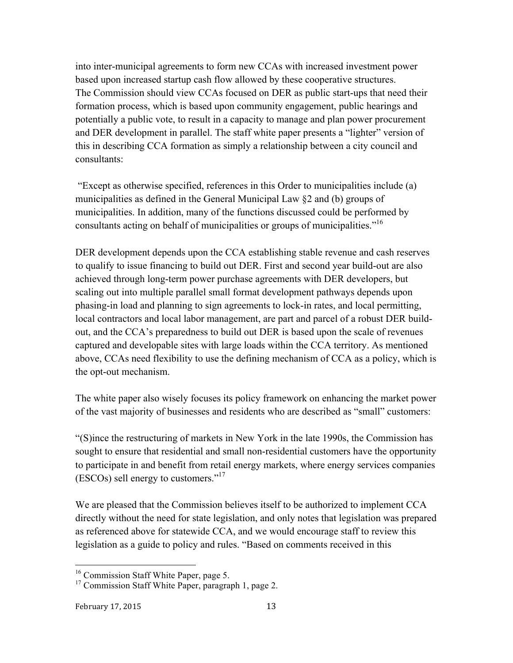into inter-municipal agreements to form new CCAs with increased investment power based upon increased startup cash flow allowed by these cooperative structures. The Commission should view CCAs focused on DER as public start-ups that need their formation process, which is based upon community engagement, public hearings and potentially a public vote, to result in a capacity to manage and plan power procurement and DER development in parallel. The staff white paper presents a "lighter" version of this in describing CCA formation as simply a relationship between a city council and consultants:

"Except as otherwise specified, references in this Order to municipalities include (a) municipalities as defined in the General Municipal Law §2 and (b) groups of municipalities. In addition, many of the functions discussed could be performed by consultants acting on behalf of municipalities or groups of municipalities."<sup>16</sup>

DER development depends upon the CCA establishing stable revenue and cash reserves to qualify to issue financing to build out DER. First and second year build-out are also achieved through long-term power purchase agreements with DER developers, but scaling out into multiple parallel small format development pathways depends upon phasing-in load and planning to sign agreements to lock-in rates, and local permitting, local contractors and local labor management, are part and parcel of a robust DER buildout, and the CCA's preparedness to build out DER is based upon the scale of revenues captured and developable sites with large loads within the CCA territory. As mentioned above, CCAs need flexibility to use the defining mechanism of CCA as a policy, which is the opt-out mechanism.

The white paper also wisely focuses its policy framework on enhancing the market power of the vast majority of businesses and residents who are described as "small" customers:

"(S)ince the restructuring of markets in New York in the late 1990s, the Commission has sought to ensure that residential and small non-residential customers have the opportunity to participate in and benefit from retail energy markets, where energy services companies (ESCOs) sell energy to customers."17

We are pleased that the Commission believes itself to be authorized to implement CCA directly without the need for state legislation, and only notes that legislation was prepared as referenced above for statewide CCA, and we would encourage staff to review this legislation as a guide to policy and rules. "Based on comments received in this

<sup>&</sup>lt;sup>16</sup> Commission Staff White Paper, page 5.

<sup>&</sup>lt;sup>17</sup> Commission Staff White Paper, paragraph 1, page 2.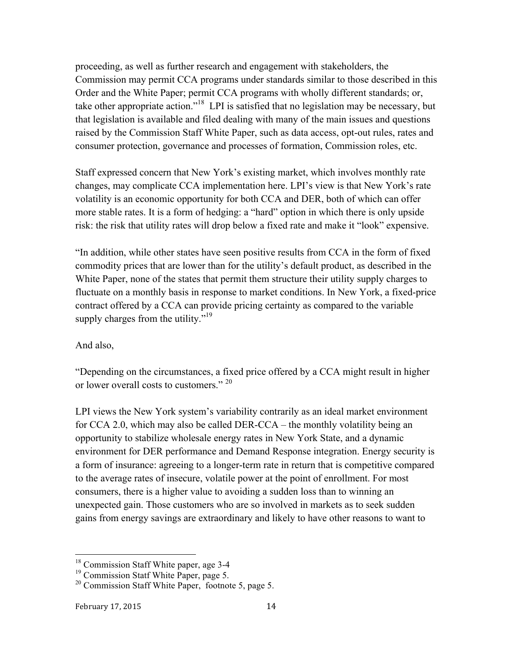proceeding, as well as further research and engagement with stakeholders, the Commission may permit CCA programs under standards similar to those described in this Order and the White Paper; permit CCA programs with wholly different standards; or, take other appropriate action."<sup>18</sup> LPI is satisfied that no legislation may be necessary, but that legislation is available and filed dealing with many of the main issues and questions raised by the Commission Staff White Paper, such as data access, opt-out rules, rates and consumer protection, governance and processes of formation, Commission roles, etc.

Staff expressed concern that New York's existing market, which involves monthly rate changes, may complicate CCA implementation here. LPI's view is that New York's rate volatility is an economic opportunity for both CCA and DER, both of which can offer more stable rates. It is a form of hedging: a "hard" option in which there is only upside risk: the risk that utility rates will drop below a fixed rate and make it "look" expensive.

"In addition, while other states have seen positive results from CCA in the form of fixed commodity prices that are lower than for the utility's default product, as described in the White Paper, none of the states that permit them structure their utility supply charges to fluctuate on a monthly basis in response to market conditions. In New York, a fixed-price contract offered by a CCA can provide pricing certainty as compared to the variable supply charges from the utility."<sup>19</sup>

#### And also,

"Depending on the circumstances, a fixed price offered by a CCA might result in higher or lower overall costs to customers." <sup>20</sup>

LPI views the New York system's variability contrarily as an ideal market environment for CCA 2.0, which may also be called DER-CCA – the monthly volatility being an opportunity to stabilize wholesale energy rates in New York State, and a dynamic environment for DER performance and Demand Response integration. Energy security is a form of insurance: agreeing to a longer-term rate in return that is competitive compared to the average rates of insecure, volatile power at the point of enrollment. For most consumers, there is a higher value to avoiding a sudden loss than to winning an unexpected gain. Those customers who are so involved in markets as to seek sudden gains from energy savings are extraordinary and likely to have other reasons to want to

<sup>&</sup>lt;sup>18</sup> Commission Staff White paper, age 3-4

<sup>&</sup>lt;sup>19</sup> Commission Statf White Paper, page 5.

 $20$  Commission Staff White Paper, footnote 5, page 5.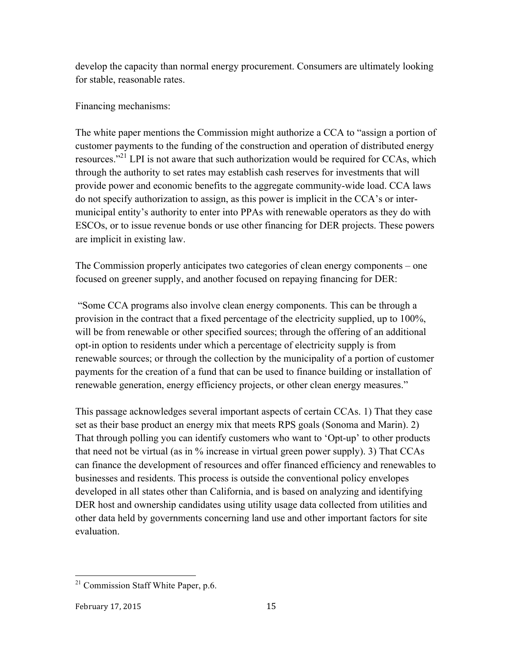develop the capacity than normal energy procurement. Consumers are ultimately looking for stable, reasonable rates.

Financing mechanisms:

The white paper mentions the Commission might authorize a CCA to "assign a portion of customer payments to the funding of the construction and operation of distributed energy resources."<sup>21</sup> LPI is not aware that such authorization would be required for CCAs, which through the authority to set rates may establish cash reserves for investments that will provide power and economic benefits to the aggregate community-wide load. CCA laws do not specify authorization to assign, as this power is implicit in the CCA's or intermunicipal entity's authority to enter into PPAs with renewable operators as they do with ESCOs, or to issue revenue bonds or use other financing for DER projects. These powers are implicit in existing law.

The Commission properly anticipates two categories of clean energy components – one focused on greener supply, and another focused on repaying financing for DER:

"Some CCA programs also involve clean energy components. This can be through a provision in the contract that a fixed percentage of the electricity supplied, up to 100%, will be from renewable or other specified sources; through the offering of an additional opt-in option to residents under which a percentage of electricity supply is from renewable sources; or through the collection by the municipality of a portion of customer payments for the creation of a fund that can be used to finance building or installation of renewable generation, energy efficiency projects, or other clean energy measures."

This passage acknowledges several important aspects of certain CCAs. 1) That they case set as their base product an energy mix that meets RPS goals (Sonoma and Marin). 2) That through polling you can identify customers who want to 'Opt-up' to other products that need not be virtual (as in % increase in virtual green power supply). 3) That CCAs can finance the development of resources and offer financed efficiency and renewables to businesses and residents. This process is outside the conventional policy envelopes developed in all states other than California, and is based on analyzing and identifying DER host and ownership candidates using utility usage data collected from utilities and other data held by governments concerning land use and other important factors for site evaluation.

 $21$  Commission Staff White Paper, p.6.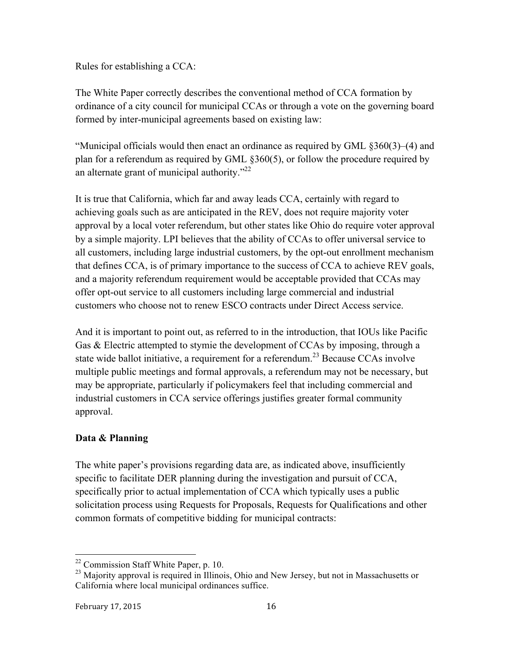Rules for establishing a CCA:

The White Paper correctly describes the conventional method of CCA formation by ordinance of a city council for municipal CCAs or through a vote on the governing board formed by inter-municipal agreements based on existing law:

"Municipal officials would then enact an ordinance as required by GML §360(3)–(4) and plan for a referendum as required by GML §360(5), or follow the procedure required by an alternate grant of municipal authority."<sup>22</sup>

It is true that California, which far and away leads CCA, certainly with regard to achieving goals such as are anticipated in the REV, does not require majority voter approval by a local voter referendum, but other states like Ohio do require voter approval by a simple majority. LPI believes that the ability of CCAs to offer universal service to all customers, including large industrial customers, by the opt-out enrollment mechanism that defines CCA, is of primary importance to the success of CCA to achieve REV goals, and a majority referendum requirement would be acceptable provided that CCAs may offer opt-out service to all customers including large commercial and industrial customers who choose not to renew ESCO contracts under Direct Access service.

And it is important to point out, as referred to in the introduction, that IOUs like Pacific Gas & Electric attempted to stymie the development of CCAs by imposing, through a state wide ballot initiative, a requirement for a referendum.<sup>23</sup> Because CCAs involve multiple public meetings and formal approvals, a referendum may not be necessary, but may be appropriate, particularly if policymakers feel that including commercial and industrial customers in CCA service offerings justifies greater formal community approval.

### **Data & Planning**

The white paper's provisions regarding data are, as indicated above, insufficiently specific to facilitate DER planning during the investigation and pursuit of CCA, specifically prior to actual implementation of CCA which typically uses a public solicitation process using Requests for Proposals, Requests for Qualifications and other common formats of competitive bidding for municipal contracts:

 <sup>22</sup> Commission Staff White Paper, p. 10.

<sup>&</sup>lt;sup>23</sup> Majority approval is required in Illinois, Ohio and New Jersey, but not in Massachusetts or California where local municipal ordinances suffice.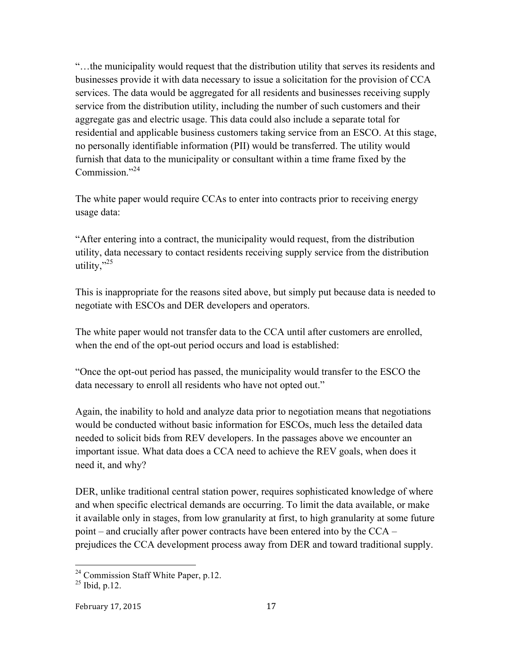"…the municipality would request that the distribution utility that serves its residents and businesses provide it with data necessary to issue a solicitation for the provision of CCA services. The data would be aggregated for all residents and businesses receiving supply service from the distribution utility, including the number of such customers and their aggregate gas and electric usage. This data could also include a separate total for residential and applicable business customers taking service from an ESCO. At this stage, no personally identifiable information (PII) would be transferred. The utility would furnish that data to the municipality or consultant within a time frame fixed by the Commission $^{3.24}$ 

The white paper would require CCAs to enter into contracts prior to receiving energy usage data:

"After entering into a contract, the municipality would request, from the distribution utility, data necessary to contact residents receiving supply service from the distribution utility," $25$ 

This is inappropriate for the reasons sited above, but simply put because data is needed to negotiate with ESCOs and DER developers and operators.

The white paper would not transfer data to the CCA until after customers are enrolled, when the end of the opt-out period occurs and load is established:

"Once the opt-out period has passed, the municipality would transfer to the ESCO the data necessary to enroll all residents who have not opted out."

Again, the inability to hold and analyze data prior to negotiation means that negotiations would be conducted without basic information for ESCOs, much less the detailed data needed to solicit bids from REV developers. In the passages above we encounter an important issue. What data does a CCA need to achieve the REV goals, when does it need it, and why?

DER, unlike traditional central station power, requires sophisticated knowledge of where and when specific electrical demands are occurring. To limit the data available, or make it available only in stages, from low granularity at first, to high granularity at some future point – and crucially after power contracts have been entered into by the CCA – prejudices the CCA development process away from DER and toward traditional supply.

 $24$  Commission Staff White Paper, p.12.

 $^{25}$  Ibid, p.12.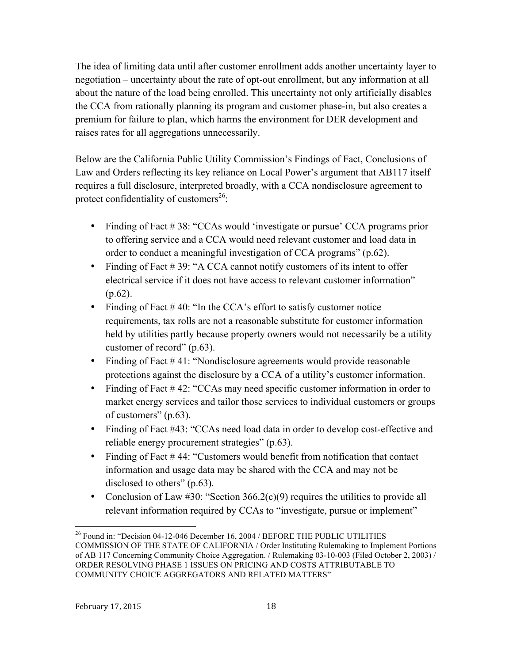The idea of limiting data until after customer enrollment adds another uncertainty layer to negotiation – uncertainty about the rate of opt-out enrollment, but any information at all about the nature of the load being enrolled. This uncertainty not only artificially disables the CCA from rationally planning its program and customer phase-in, but also creates a premium for failure to plan, which harms the environment for DER development and raises rates for all aggregations unnecessarily.

Below are the California Public Utility Commission's Findings of Fact, Conclusions of Law and Orders reflecting its key reliance on Local Power's argument that AB117 itself requires a full disclosure, interpreted broadly, with a CCA nondisclosure agreement to protect confidentiality of customers<sup>26</sup>:

- Finding of Fact #38: "CCAs would 'investigate or pursue' CCA programs prior to offering service and a CCA would need relevant customer and load data in order to conduct a meaningful investigation of CCA programs" (p.62).
- Finding of Fact #39: "A CCA cannot notify customers of its intent to offer electrical service if it does not have access to relevant customer information" (p.62).
- Finding of Fact #40: "In the CCA's effort to satisfy customer notice requirements, tax rolls are not a reasonable substitute for customer information held by utilities partly because property owners would not necessarily be a utility customer of record" (p.63).
- Finding of Fact #41: "Nondisclosure agreements would provide reasonable protections against the disclosure by a CCA of a utility's customer information.
- Finding of Fact #42: "CCAs may need specific customer information in order to market energy services and tailor those services to individual customers or groups of customers" (p.63).
- Finding of Fact #43: "CCAs need load data in order to develop cost-effective and reliable energy procurement strategies" (p.63).
- Finding of Fact #44: "Customers would benefit from notification that contact information and usage data may be shared with the CCA and may not be disclosed to others" (p.63).
- Conclusion of Law #30: "Section  $366.2(c)(9)$  requires the utilities to provide all relevant information required by CCAs to "investigate, pursue or implement"

<sup>&</sup>lt;sup>26</sup> Found in: "Decision 04-12-046 December 16, 2004 / BEFORE THE PUBLIC UTILITIES COMMISSION OF THE STATE OF CALIFORNIA / Order Instituting Rulemaking to Implement Portions of AB 117 Concerning Community Choice Aggregation. / Rulemaking 03-10-003 (Filed October 2, 2003) / ORDER RESOLVING PHASE 1 ISSUES ON PRICING AND COSTS ATTRIBUTABLE TO COMMUNITY CHOICE AGGREGATORS AND RELATED MATTERS"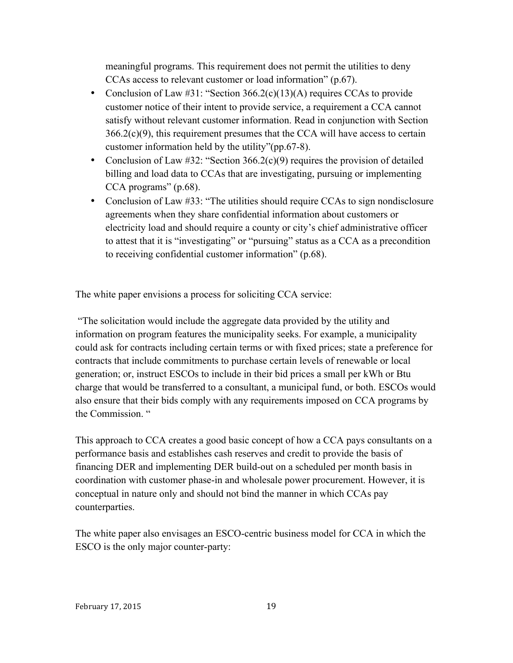meaningful programs. This requirement does not permit the utilities to deny CCAs access to relevant customer or load information" (p.67).

- Conclusion of Law #31: "Section  $366.2(c)(13)(A)$  requires CCAs to provide customer notice of their intent to provide service, a requirement a CCA cannot satisfy without relevant customer information. Read in conjunction with Section  $366.2(c)(9)$ , this requirement presumes that the CCA will have access to certain customer information held by the utility"(pp.67-8).
- Conclusion of Law #32: "Section  $366.2(c)(9)$  requires the provision of detailed billing and load data to CCAs that are investigating, pursuing or implementing CCA programs" (p.68).
- Conclusion of Law #33: "The utilities should require CCAs to sign nondisclosure agreements when they share confidential information about customers or electricity load and should require a county or city's chief administrative officer to attest that it is "investigating" or "pursuing" status as a CCA as a precondition to receiving confidential customer information" (p.68).

The white paper envisions a process for soliciting CCA service:

"The solicitation would include the aggregate data provided by the utility and information on program features the municipality seeks. For example, a municipality could ask for contracts including certain terms or with fixed prices; state a preference for contracts that include commitments to purchase certain levels of renewable or local generation; or, instruct ESCOs to include in their bid prices a small per kWh or Btu charge that would be transferred to a consultant, a municipal fund, or both. ESCOs would also ensure that their bids comply with any requirements imposed on CCA programs by the Commission. "

This approach to CCA creates a good basic concept of how a CCA pays consultants on a performance basis and establishes cash reserves and credit to provide the basis of financing DER and implementing DER build-out on a scheduled per month basis in coordination with customer phase-in and wholesale power procurement. However, it is conceptual in nature only and should not bind the manner in which CCAs pay counterparties.

The white paper also envisages an ESCO-centric business model for CCA in which the ESCO is the only major counter-party: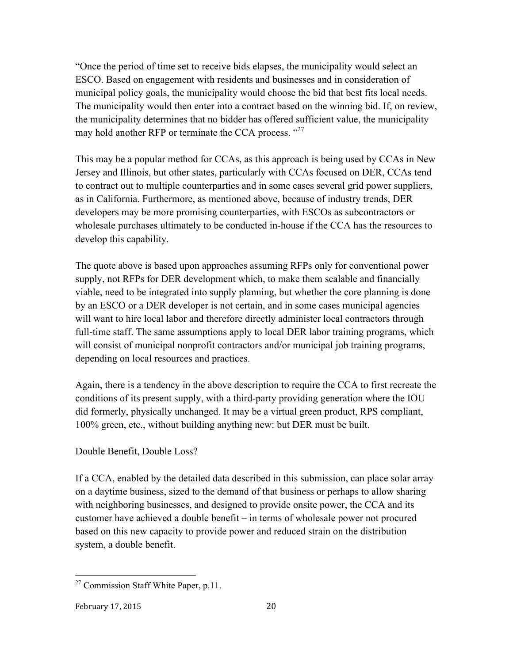"Once the period of time set to receive bids elapses, the municipality would select an ESCO. Based on engagement with residents and businesses and in consideration of municipal policy goals, the municipality would choose the bid that best fits local needs. The municipality would then enter into a contract based on the winning bid. If, on review, the municipality determines that no bidder has offered sufficient value, the municipality may hold another RFP or terminate the CCA process. "<sup>27</sup>

This may be a popular method for CCAs, as this approach is being used by CCAs in New Jersey and Illinois, but other states, particularly with CCAs focused on DER, CCAs tend to contract out to multiple counterparties and in some cases several grid power suppliers, as in California. Furthermore, as mentioned above, because of industry trends, DER developers may be more promising counterparties, with ESCOs as subcontractors or wholesale purchases ultimately to be conducted in-house if the CCA has the resources to develop this capability.

The quote above is based upon approaches assuming RFPs only for conventional power supply, not RFPs for DER development which, to make them scalable and financially viable, need to be integrated into supply planning, but whether the core planning is done by an ESCO or a DER developer is not certain, and in some cases municipal agencies will want to hire local labor and therefore directly administer local contractors through full-time staff. The same assumptions apply to local DER labor training programs, which will consist of municipal nonprofit contractors and/or municipal job training programs, depending on local resources and practices.

Again, there is a tendency in the above description to require the CCA to first recreate the conditions of its present supply, with a third-party providing generation where the IOU did formerly, physically unchanged. It may be a virtual green product, RPS compliant, 100% green, etc., without building anything new: but DER must be built.

### Double Benefit, Double Loss?

If a CCA, enabled by the detailed data described in this submission, can place solar array on a daytime business, sized to the demand of that business or perhaps to allow sharing with neighboring businesses, and designed to provide onsite power, the CCA and its customer have achieved a double benefit – in terms of wholesale power not procured based on this new capacity to provide power and reduced strain on the distribution system, a double benefit.

 $27$  Commission Staff White Paper, p.11.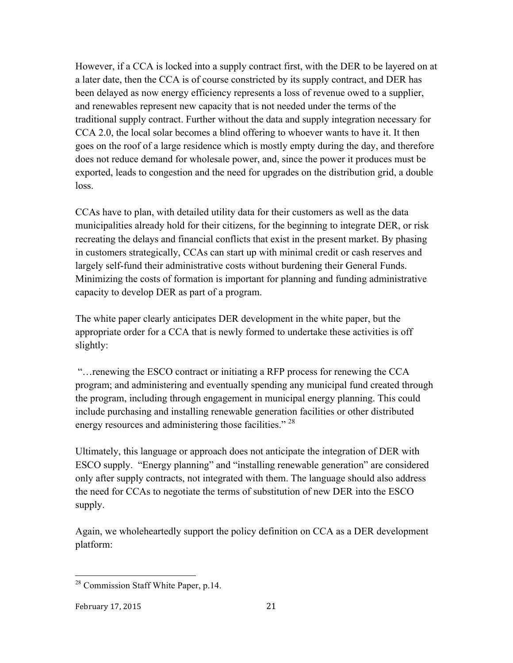However, if a CCA is locked into a supply contract first, with the DER to be layered on at a later date, then the CCA is of course constricted by its supply contract, and DER has been delayed as now energy efficiency represents a loss of revenue owed to a supplier, and renewables represent new capacity that is not needed under the terms of the traditional supply contract. Further without the data and supply integration necessary for CCA 2.0, the local solar becomes a blind offering to whoever wants to have it. It then goes on the roof of a large residence which is mostly empty during the day, and therefore does not reduce demand for wholesale power, and, since the power it produces must be exported, leads to congestion and the need for upgrades on the distribution grid, a double loss.

CCAs have to plan, with detailed utility data for their customers as well as the data municipalities already hold for their citizens, for the beginning to integrate DER, or risk recreating the delays and financial conflicts that exist in the present market. By phasing in customers strategically, CCAs can start up with minimal credit or cash reserves and largely self-fund their administrative costs without burdening their General Funds. Minimizing the costs of formation is important for planning and funding administrative capacity to develop DER as part of a program.

The white paper clearly anticipates DER development in the white paper, but the appropriate order for a CCA that is newly formed to undertake these activities is off slightly:

"…renewing the ESCO contract or initiating a RFP process for renewing the CCA program; and administering and eventually spending any municipal fund created through the program, including through engagement in municipal energy planning. This could include purchasing and installing renewable generation facilities or other distributed energy resources and administering those facilities."<sup>28</sup>

Ultimately, this language or approach does not anticipate the integration of DER with ESCO supply. "Energy planning" and "installing renewable generation" are considered only after supply contracts, not integrated with them. The language should also address the need for CCAs to negotiate the terms of substitution of new DER into the ESCO supply.

Again, we wholeheartedly support the policy definition on CCA as a DER development platform:

<sup>&</sup>lt;sup>28</sup> Commission Staff White Paper, p.14.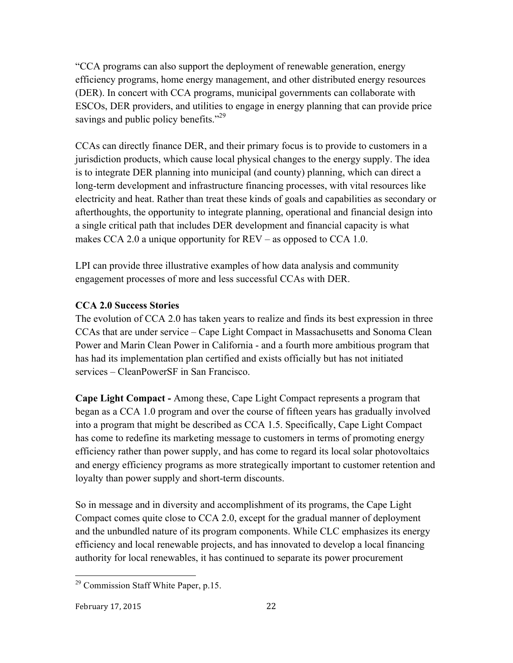"CCA programs can also support the deployment of renewable generation, energy efficiency programs, home energy management, and other distributed energy resources (DER). In concert with CCA programs, municipal governments can collaborate with ESCOs, DER providers, and utilities to engage in energy planning that can provide price savings and public policy benefits."<sup>29</sup>

CCAs can directly finance DER, and their primary focus is to provide to customers in a jurisdiction products, which cause local physical changes to the energy supply. The idea is to integrate DER planning into municipal (and county) planning, which can direct a long-term development and infrastructure financing processes, with vital resources like electricity and heat. Rather than treat these kinds of goals and capabilities as secondary or afterthoughts, the opportunity to integrate planning, operational and financial design into a single critical path that includes DER development and financial capacity is what makes CCA 2.0 a unique opportunity for REV – as opposed to CCA 1.0.

LPI can provide three illustrative examples of how data analysis and community engagement processes of more and less successful CCAs with DER.

## **CCA 2.0 Success Stories**

The evolution of CCA 2.0 has taken years to realize and finds its best expression in three CCAs that are under service – Cape Light Compact in Massachusetts and Sonoma Clean Power and Marin Clean Power in California - and a fourth more ambitious program that has had its implementation plan certified and exists officially but has not initiated services – CleanPowerSF in San Francisco.

**Cape Light Compact -** Among these, Cape Light Compact represents a program that began as a CCA 1.0 program and over the course of fifteen years has gradually involved into a program that might be described as CCA 1.5. Specifically, Cape Light Compact has come to redefine its marketing message to customers in terms of promoting energy efficiency rather than power supply, and has come to regard its local solar photovoltaics and energy efficiency programs as more strategically important to customer retention and loyalty than power supply and short-term discounts.

So in message and in diversity and accomplishment of its programs, the Cape Light Compact comes quite close to CCA 2.0, except for the gradual manner of deployment and the unbundled nature of its program components. While CLC emphasizes its energy efficiency and local renewable projects, and has innovated to develop a local financing authority for local renewables, it has continued to separate its power procurement

 $29$  Commission Staff White Paper, p.15.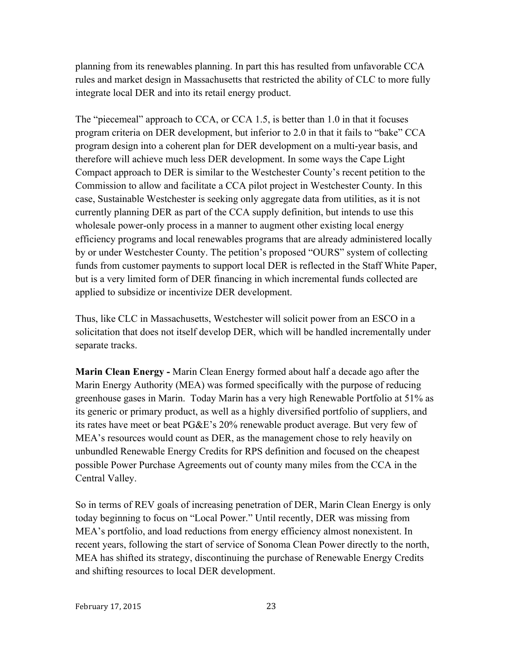planning from its renewables planning. In part this has resulted from unfavorable CCA rules and market design in Massachusetts that restricted the ability of CLC to more fully integrate local DER and into its retail energy product.

The "piecemeal" approach to CCA, or CCA 1.5, is better than 1.0 in that it focuses program criteria on DER development, but inferior to 2.0 in that it fails to "bake" CCA program design into a coherent plan for DER development on a multi-year basis, and therefore will achieve much less DER development. In some ways the Cape Light Compact approach to DER is similar to the Westchester County's recent petition to the Commission to allow and facilitate a CCA pilot project in Westchester County. In this case, Sustainable Westchester is seeking only aggregate data from utilities, as it is not currently planning DER as part of the CCA supply definition, but intends to use this wholesale power-only process in a manner to augment other existing local energy efficiency programs and local renewables programs that are already administered locally by or under Westchester County. The petition's proposed "OURS" system of collecting funds from customer payments to support local DER is reflected in the Staff White Paper, but is a very limited form of DER financing in which incremental funds collected are applied to subsidize or incentivize DER development.

Thus, like CLC in Massachusetts, Westchester will solicit power from an ESCO in a solicitation that does not itself develop DER, which will be handled incrementally under separate tracks.

**Marin Clean Energy -** Marin Clean Energy formed about half a decade ago after the Marin Energy Authority (MEA) was formed specifically with the purpose of reducing greenhouse gases in Marin. Today Marin has a very high Renewable Portfolio at 51% as its generic or primary product, as well as a highly diversified portfolio of suppliers, and its rates have meet or beat PG&E's 20% renewable product average. But very few of MEA's resources would count as DER, as the management chose to rely heavily on unbundled Renewable Energy Credits for RPS definition and focused on the cheapest possible Power Purchase Agreements out of county many miles from the CCA in the Central Valley.

So in terms of REV goals of increasing penetration of DER, Marin Clean Energy is only today beginning to focus on "Local Power." Until recently, DER was missing from MEA's portfolio, and load reductions from energy efficiency almost nonexistent. In recent years, following the start of service of Sonoma Clean Power directly to the north, MEA has shifted its strategy, discontinuing the purchase of Renewable Energy Credits and shifting resources to local DER development.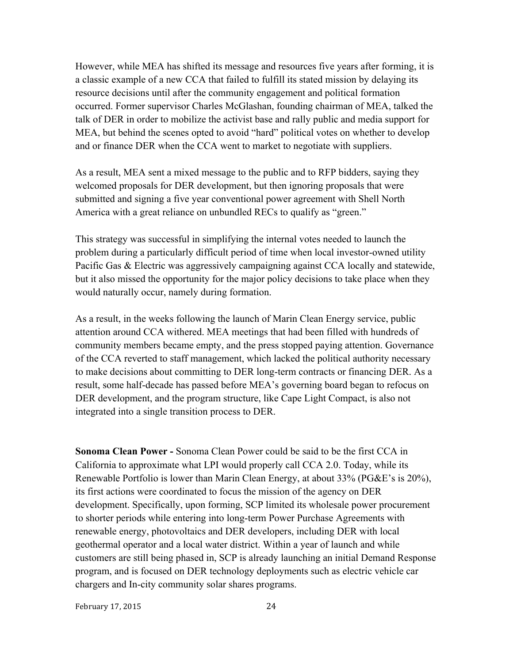However, while MEA has shifted its message and resources five years after forming, it is a classic example of a new CCA that failed to fulfill its stated mission by delaying its resource decisions until after the community engagement and political formation occurred. Former supervisor Charles McGlashan, founding chairman of MEA, talked the talk of DER in order to mobilize the activist base and rally public and media support for MEA, but behind the scenes opted to avoid "hard" political votes on whether to develop and or finance DER when the CCA went to market to negotiate with suppliers.

As a result, MEA sent a mixed message to the public and to RFP bidders, saying they welcomed proposals for DER development, but then ignoring proposals that were submitted and signing a five year conventional power agreement with Shell North America with a great reliance on unbundled RECs to qualify as "green."

This strategy was successful in simplifying the internal votes needed to launch the problem during a particularly difficult period of time when local investor-owned utility Pacific Gas & Electric was aggressively campaigning against CCA locally and statewide, but it also missed the opportunity for the major policy decisions to take place when they would naturally occur, namely during formation.

As a result, in the weeks following the launch of Marin Clean Energy service, public attention around CCA withered. MEA meetings that had been filled with hundreds of community members became empty, and the press stopped paying attention. Governance of the CCA reverted to staff management, which lacked the political authority necessary to make decisions about committing to DER long-term contracts or financing DER. As a result, some half-decade has passed before MEA's governing board began to refocus on DER development, and the program structure, like Cape Light Compact, is also not integrated into a single transition process to DER.

**Sonoma Clean Power -** Sonoma Clean Power could be said to be the first CCA in California to approximate what LPI would properly call CCA 2.0. Today, while its Renewable Portfolio is lower than Marin Clean Energy, at about 33% (PG&E's is 20%), its first actions were coordinated to focus the mission of the agency on DER development. Specifically, upon forming, SCP limited its wholesale power procurement to shorter periods while entering into long-term Power Purchase Agreements with renewable energy, photovoltaics and DER developers, including DER with local geothermal operator and a local water district. Within a year of launch and while customers are still being phased in, SCP is already launching an initial Demand Response program, and is focused on DER technology deployments such as electric vehicle car chargers and In-city community solar shares programs.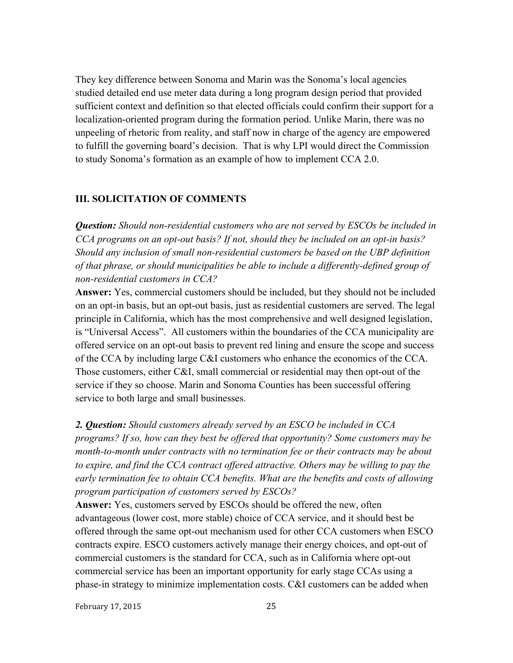They key difference between Sonoma and Marin was the Sonoma's local agencies studied detailed end use meter data during a long program design period that provided sufficient context and definition so that elected officials could confirm their support for a localization-oriented program during the formation period. Unlike Marin, there was no unpeeling of rhetoric from reality, and staff now in charge of the agency are empowered to fulfill the governing board's decision. That is why LPI would direct the Commission to study Sonoma's formation as an example of how to implement CCA 2.0.

#### **III. SOLICITATION OF COMMENTS**

*Question: Should non-residential customers who are not served by ESCOs be included in CCA programs on an opt-out basis? If not, should they be included on an opt-in basis? Should any inclusion of small non-residential customers be based on the UBP definition of that phrase, or should municipalities be able to include a differently-defined group of non-residential customers in CCA?* 

**Answer:** Yes, commercial customers should be included, but they should not be included on an opt-in basis, but an opt-out basis, just as residential customers are served. The legal principle in California, which has the most comprehensive and well designed legislation, is "Universal Access". All customers within the boundaries of the CCA municipality are offered service on an opt-out basis to prevent red lining and ensure the scope and success of the CCA by including large C&I customers who enhance the economics of the CCA. Those customers, either C&I, small commercial or residential may then opt-out of the service if they so choose. Marin and Sonoma Counties has been successful offering service to both large and small businesses.

*2. Question: Should customers already served by an ESCO be included in CCA programs? If so, how can they best be offered that opportunity? Some customers may be month-to-month under contracts with no termination fee or their contracts may be about to expire, and find the CCA contract offered attractive. Others may be willing to pay the early termination fee to obtain CCA benefits. What are the benefits and costs of allowing program participation of customers served by ESCOs?* 

**Answer:** Yes, customers served by ESCOs should be offered the new, often advantageous (lower cost, more stable) choice of CCA service, and it should best be offered through the same opt-out mechanism used for other CCA customers when ESCO contracts expire. ESCO customers actively manage their energy choices, and opt-out of commercial customers is the standard for CCA, such as in California where opt-out commercial service has been an important opportunity for early stage CCAs using a phase-in strategy to minimize implementation costs. C&I customers can be added when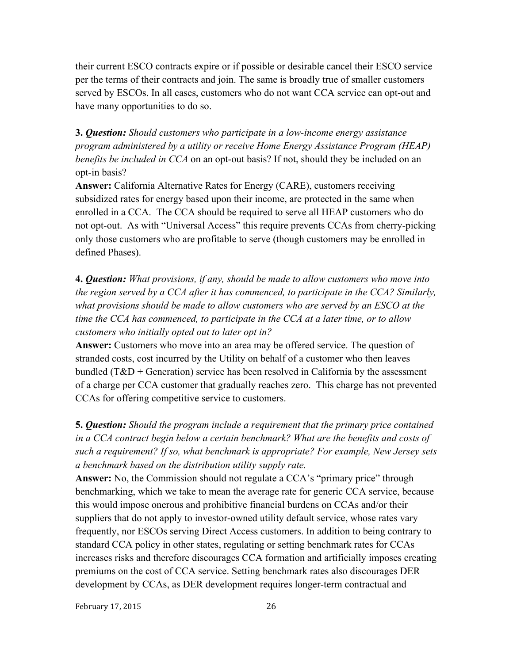their current ESCO contracts expire or if possible or desirable cancel their ESCO service per the terms of their contracts and join. The same is broadly true of smaller customers served by ESCOs. In all cases, customers who do not want CCA service can opt-out and have many opportunities to do so.

**3.** *Question: Should customers who participate in a low-income energy assistance program administered by a utility or receive Home Energy Assistance Program (HEAP) benefits be included in CCA* on an opt-out basis? If not, should they be included on an opt-in basis?

**Answer:** California Alternative Rates for Energy (CARE), customers receiving subsidized rates for energy based upon their income, are protected in the same when enrolled in a CCA. The CCA should be required to serve all HEAP customers who do not opt-out. As with "Universal Access" this require prevents CCAs from cherry-picking only those customers who are profitable to serve (though customers may be enrolled in defined Phases).

**4.** *Question: What provisions, if any, should be made to allow customers who move into the region served by a CCA after it has commenced, to participate in the CCA? Similarly, what provisions should be made to allow customers who are served by an ESCO at the time the CCA has commenced, to participate in the CCA at a later time, or to allow customers who initially opted out to later opt in?*

**Answer:** Customers who move into an area may be offered service. The question of stranded costs, cost incurred by the Utility on behalf of a customer who then leaves bundled  $(T&D + \text{Generation})$  service has been resolved in California by the assessment of a charge per CCA customer that gradually reaches zero. This charge has not prevented CCAs for offering competitive service to customers.

**5.** *Question: Should the program include a requirement that the primary price contained in a CCA contract begin below a certain benchmark? What are the benefits and costs of such a requirement? If so, what benchmark is appropriate? For example, New Jersey sets a benchmark based on the distribution utility supply rate.*

**Answer:** No, the Commission should not regulate a CCA's "primary price" through benchmarking, which we take to mean the average rate for generic CCA service, because this would impose onerous and prohibitive financial burdens on CCAs and/or their suppliers that do not apply to investor-owned utility default service, whose rates vary frequently, nor ESCOs serving Direct Access customers. In addition to being contrary to standard CCA policy in other states, regulating or setting benchmark rates for CCAs increases risks and therefore discourages CCA formation and artificially imposes creating premiums on the cost of CCA service. Setting benchmark rates also discourages DER development by CCAs, as DER development requires longer-term contractual and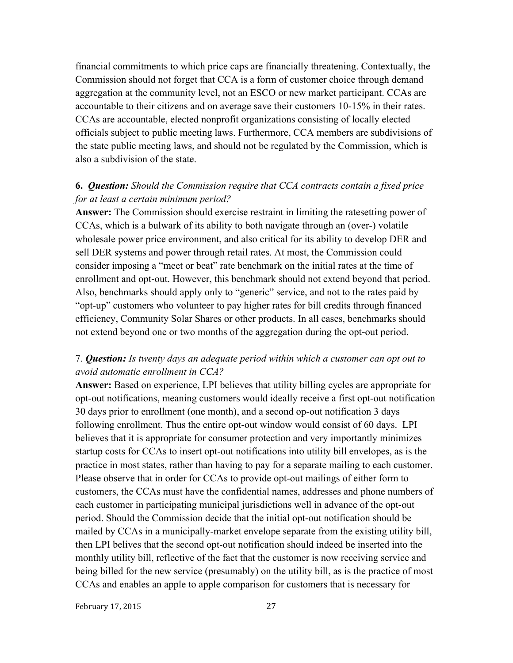financial commitments to which price caps are financially threatening. Contextually, the Commission should not forget that CCA is a form of customer choice through demand aggregation at the community level, not an ESCO or new market participant. CCAs are accountable to their citizens and on average save their customers 10-15% in their rates. CCAs are accountable, elected nonprofit organizations consisting of locally elected officials subject to public meeting laws. Furthermore, CCA members are subdivisions of the state public meeting laws, and should not be regulated by the Commission, which is also a subdivision of the state.

## **6.** *Question: Should the Commission require that CCA contracts contain a fixed price for at least a certain minimum period?*

**Answer:** The Commission should exercise restraint in limiting the ratesetting power of CCAs, which is a bulwark of its ability to both navigate through an (over-) volatile wholesale power price environment, and also critical for its ability to develop DER and sell DER systems and power through retail rates. At most, the Commission could consider imposing a "meet or beat" rate benchmark on the initial rates at the time of enrollment and opt-out. However, this benchmark should not extend beyond that period. Also, benchmarks should apply only to "generic" service, and not to the rates paid by "opt-up" customers who volunteer to pay higher rates for bill credits through financed efficiency, Community Solar Shares or other products. In all cases, benchmarks should not extend beyond one or two months of the aggregation during the opt-out period.

### 7. *Question: Is twenty days an adequate period within which a customer can opt out to avoid automatic enrollment in CCA?*

**Answer:** Based on experience, LPI believes that utility billing cycles are appropriate for opt-out notifications, meaning customers would ideally receive a first opt-out notification 30 days prior to enrollment (one month), and a second op-out notification 3 days following enrollment. Thus the entire opt-out window would consist of 60 days. LPI believes that it is appropriate for consumer protection and very importantly minimizes startup costs for CCAs to insert opt-out notifications into utility bill envelopes, as is the practice in most states, rather than having to pay for a separate mailing to each customer. Please observe that in order for CCAs to provide opt-out mailings of either form to customers, the CCAs must have the confidential names, addresses and phone numbers of each customer in participating municipal jurisdictions well in advance of the opt-out period. Should the Commission decide that the initial opt-out notification should be mailed by CCAs in a municipally-market envelope separate from the existing utility bill, then LPI belives that the second opt-out notification should indeed be inserted into the monthly utility bill, reflective of the fact that the customer is now receiving service and being billed for the new service (presumably) on the utility bill, as is the practice of most CCAs and enables an apple to apple comparison for customers that is necessary for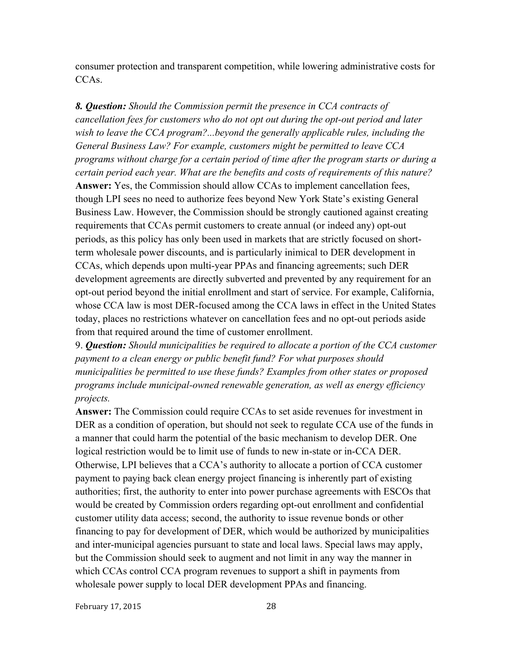consumer protection and transparent competition, while lowering administrative costs for CCA<sub>s</sub>.

*8. Question: Should the Commission permit the presence in CCA contracts of cancellation fees for customers who do not opt out during the opt-out period and later wish to leave the CCA program?...beyond the generally applicable rules, including the General Business Law? For example, customers might be permitted to leave CCA programs without charge for a certain period of time after the program starts or during a certain period each year. What are the benefits and costs of requirements of this nature?* **Answer:** Yes, the Commission should allow CCAs to implement cancellation fees, though LPI sees no need to authorize fees beyond New York State's existing General Business Law. However, the Commission should be strongly cautioned against creating requirements that CCAs permit customers to create annual (or indeed any) opt-out periods, as this policy has only been used in markets that are strictly focused on shortterm wholesale power discounts, and is particularly inimical to DER development in CCAs, which depends upon multi-year PPAs and financing agreements; such DER development agreements are directly subverted and prevented by any requirement for an opt-out period beyond the initial enrollment and start of service. For example, California, whose CCA law is most DER-focused among the CCA laws in effect in the United States today, places no restrictions whatever on cancellation fees and no opt-out periods aside from that required around the time of customer enrollment.

9. *Question: Should municipalities be required to allocate a portion of the CCA customer payment to a clean energy or public benefit fund? For what purposes should municipalities be permitted to use these funds? Examples from other states or proposed programs include municipal-owned renewable generation, as well as energy efficiency projects.*

**Answer:** The Commission could require CCAs to set aside revenues for investment in DER as a condition of operation, but should not seek to regulate CCA use of the funds in a manner that could harm the potential of the basic mechanism to develop DER. One logical restriction would be to limit use of funds to new in-state or in-CCA DER. Otherwise, LPI believes that a CCA's authority to allocate a portion of CCA customer payment to paying back clean energy project financing is inherently part of existing authorities; first, the authority to enter into power purchase agreements with ESCOs that would be created by Commission orders regarding opt-out enrollment and confidential customer utility data access; second, the authority to issue revenue bonds or other financing to pay for development of DER, which would be authorized by municipalities and inter-municipal agencies pursuant to state and local laws. Special laws may apply, but the Commission should seek to augment and not limit in any way the manner in which CCAs control CCA program revenues to support a shift in payments from wholesale power supply to local DER development PPAs and financing.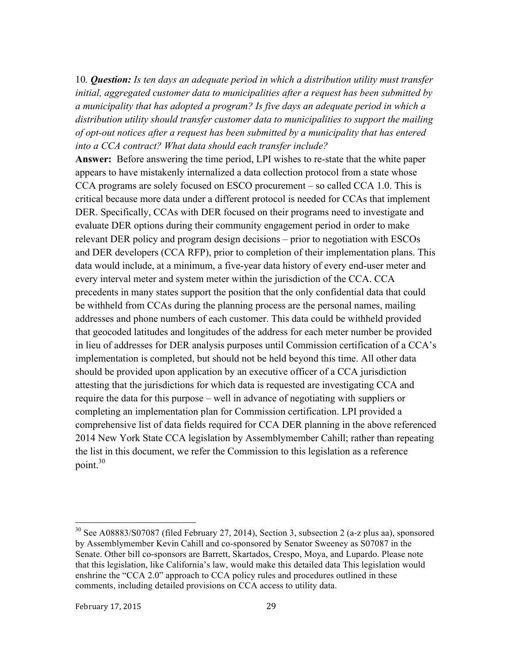10*. Question: Is ten days an adequate period in which a distribution utility must transfer initial, aggregated customer data to municipalities after a request has been submitted by a municipality that has adopted a program? Is five days an adequate period in which a distribution utility should transfer customer data to municipalities to support the mailing of opt-out notices after a request has been submitted by a municipality that has entered into a CCA contract? What data should each transfer include?*

**Answer:** Before answering the time period, LPI wishes to re-state that the white paper appears to have mistakenly internalized a data collection protocol from a state whose CCA programs are solely focused on ESCO procurement – so called CCA 1.0. This is critical because more data under a different protocol is needed for CCAs that implement DER. Specifically, CCAs with DER focused on their programs need to investigate and evaluate DER options during their community engagement period in order to make relevant DER policy and program design decisions – prior to negotiation with ESCOs and DER developers (CCA RFP), prior to completion of their implementation plans. This data would include, at a minimum, a five-year data history of every end-user meter and every interval meter and system meter within the jurisdiction of the CCA. CCA precedents in many states support the position that the only confidential data that could be withheld from CCAs during the planning process are the personal names, mailing addresses and phone numbers of each customer. This data could be withheld provided that geocoded latitudes and longitudes of the address for each meter number be provided in lieu of addresses for DER analysis purposes until Commission certification of a CCA's implementation is completed, but should not be held beyond this time. All other data should be provided upon application by an executive officer of a CCA jurisdiction attesting that the jurisdictions for which data is requested are investigating CCA and require the data for this purpose – well in advance of negotiating with suppliers or completing an implementation plan for Commission certification. LPI provided a comprehensive list of data fields required for CCA DER planning in the above referenced 2014 New York State CCA legislation by Assemblymember Cahill; rather than repeating the list in this document, we refer the Commission to this legislation as a reference point.<sup>30</sup>

<sup>&</sup>lt;sup>30</sup> See A08883/S07087 (filed February 27, 2014), Section 3, subsection 2 (a-z plus aa), sponsored by Assemblymember Kevin Cahill and co-sponsored by Senator Sweeney as S07087 in the Senate. Other bill co-sponsors are Barrett, Skartados, Crespo, Moya, and Lupardo. Please note that this legislation, like California's law, would make this detailed data This legislation would enshrine the "CCA 2.0" approach to CCA policy rules and procedures outlined in these comments, including detailed provisions on CCA access to utility data.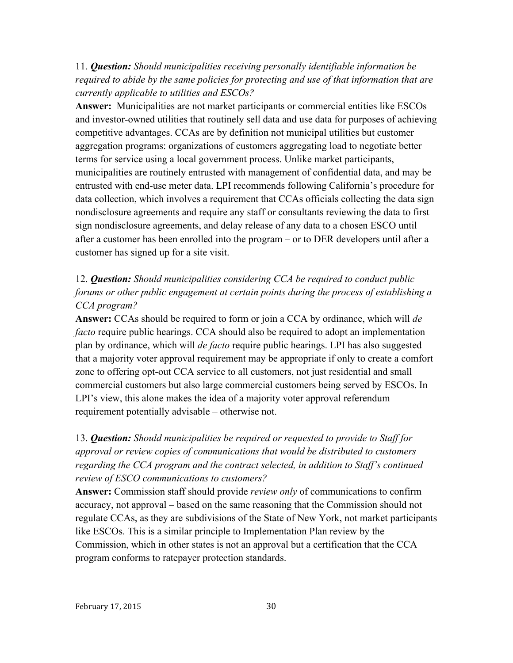## 11. *Question: Should municipalities receiving personally identifiable information be required to abide by the same policies for protecting and use of that information that are currently applicable to utilities and ESCOs?*

**Answer:** Municipalities are not market participants or commercial entities like ESCOs and investor-owned utilities that routinely sell data and use data for purposes of achieving competitive advantages. CCAs are by definition not municipal utilities but customer aggregation programs: organizations of customers aggregating load to negotiate better terms for service using a local government process. Unlike market participants, municipalities are routinely entrusted with management of confidential data, and may be entrusted with end-use meter data. LPI recommends following California's procedure for data collection, which involves a requirement that CCAs officials collecting the data sign nondisclosure agreements and require any staff or consultants reviewing the data to first sign nondisclosure agreements, and delay release of any data to a chosen ESCO until after a customer has been enrolled into the program – or to DER developers until after a customer has signed up for a site visit.

# 12. *Question: Should municipalities considering CCA be required to conduct public forums or other public engagement at certain points during the process of establishing a CCA program?*

**Answer:** CCAs should be required to form or join a CCA by ordinance, which will *de facto* require public hearings. CCA should also be required to adopt an implementation plan by ordinance, which will *de facto* require public hearings. LPI has also suggested that a majority voter approval requirement may be appropriate if only to create a comfort zone to offering opt-out CCA service to all customers, not just residential and small commercial customers but also large commercial customers being served by ESCOs. In LPI's view, this alone makes the idea of a majority voter approval referendum requirement potentially advisable – otherwise not.

13. *Question: Should municipalities be required or requested to provide to Staff for approval or review copies of communications that would be distributed to customers regarding the CCA program and the contract selected, in addition to Staff's continued review of ESCO communications to customers?*

**Answer:** Commission staff should provide *review only* of communications to confirm accuracy, not approval – based on the same reasoning that the Commission should not regulate CCAs, as they are subdivisions of the State of New York, not market participants like ESCOs. This is a similar principle to Implementation Plan review by the Commission, which in other states is not an approval but a certification that the CCA program conforms to ratepayer protection standards.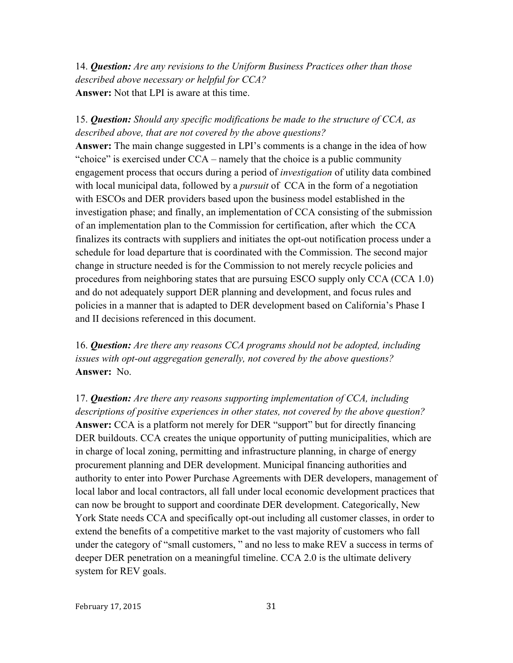14. *Question: Are any revisions to the Uniform Business Practices other than those described above necessary or helpful for CCA?* **Answer:** Not that LPI is aware at this time.

# 15. *Question: Should any specific modifications be made to the structure of CCA, as described above, that are not covered by the above questions?*

**Answer:** The main change suggested in LPI's comments is a change in the idea of how "choice" is exercised under CCA – namely that the choice is a public community engagement process that occurs during a period of *investigation* of utility data combined with local municipal data, followed by a *pursuit* of CCA in the form of a negotiation with ESCOs and DER providers based upon the business model established in the investigation phase; and finally, an implementation of CCA consisting of the submission of an implementation plan to the Commission for certification, after which the CCA finalizes its contracts with suppliers and initiates the opt-out notification process under a schedule for load departure that is coordinated with the Commission. The second major change in structure needed is for the Commission to not merely recycle policies and procedures from neighboring states that are pursuing ESCO supply only CCA (CCA 1.0) and do not adequately support DER planning and development, and focus rules and policies in a manner that is adapted to DER development based on California's Phase I and II decisions referenced in this document.

16. *Question: Are there any reasons CCA programs should not be adopted, including issues with opt-out aggregation generally, not covered by the above questions?* **Answer:** No.

17. *Question: Are there any reasons supporting implementation of CCA, including descriptions of positive experiences in other states, not covered by the above question?* **Answer:** CCA is a platform not merely for DER "support" but for directly financing DER buildouts. CCA creates the unique opportunity of putting municipalities, which are in charge of local zoning, permitting and infrastructure planning, in charge of energy procurement planning and DER development. Municipal financing authorities and authority to enter into Power Purchase Agreements with DER developers, management of local labor and local contractors, all fall under local economic development practices that can now be brought to support and coordinate DER development. Categorically, New York State needs CCA and specifically opt-out including all customer classes, in order to extend the benefits of a competitive market to the vast majority of customers who fall under the category of "small customers, " and no less to make REV a success in terms of deeper DER penetration on a meaningful timeline. CCA 2.0 is the ultimate delivery system for REV goals.